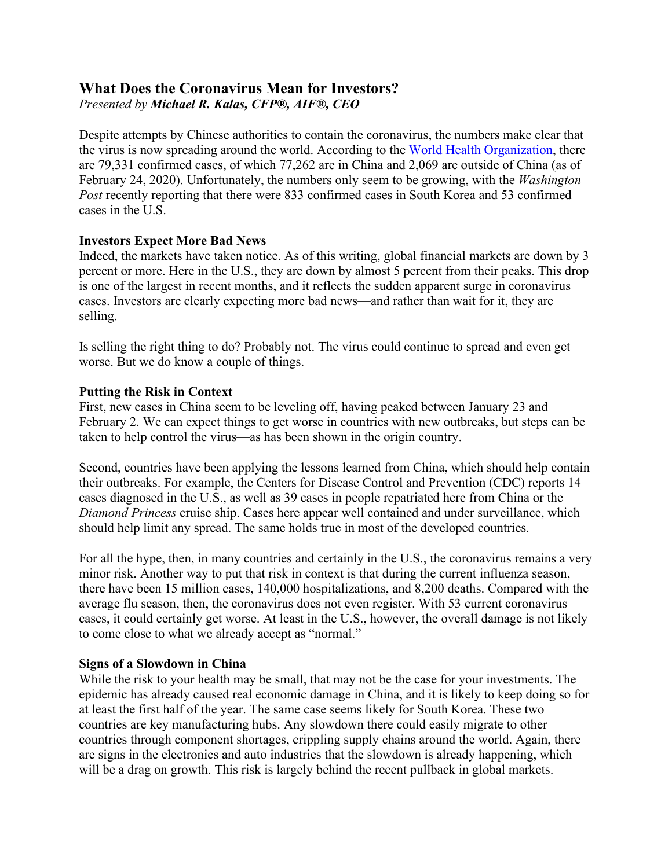# **What Does the Coronavirus Mean for Investors?** *Presented by Michael R. Kalas, CFP®, AIF®, CEO*

Despite attempts by Chinese authorities to contain the coronavirus, the numbers make clear that the virus is now spreading around the world. According to the [World Health Organization,](https://www.who.int/) there are 79,331 confirmed cases, of which 77,262 are in China and 2,069 are outside of China (as of February 24, 2020). Unfortunately, the numbers only seem to be growing, with the *Washington Post* recently reporting that there were 833 confirmed cases in South Korea and 53 confirmed cases in the U.S.

# **Investors Expect More Bad News**

Indeed, the markets have taken notice. As of this writing, global financial markets are down by 3 percent or more. Here in the U.S., they are down by almost 5 percent from their peaks. This drop is one of the largest in recent months, and it reflects the sudden apparent surge in coronavirus cases. Investors are clearly expecting more bad news—and rather than wait for it, they are selling.

Is selling the right thing to do? Probably not. The virus could continue to spread and even get worse. But we do know a couple of things.

## **Putting the Risk in Context**

First, new cases in China seem to be leveling off, having peaked between January 23 and February 2. We can expect things to get worse in countries with new outbreaks, but steps can be taken to help control the virus—as has been shown in the origin country.

Second, countries have been applying the lessons learned from China, which should help contain their outbreaks. For example, the Centers for Disease Control and Prevention (CDC) reports 14 cases diagnosed in the U.S., as well as 39 cases in people repatriated here from China or the *Diamond Princess* cruise ship. Cases here appear well contained and under surveillance, which should help limit any spread. The same holds true in most of the developed countries.

For all the hype, then, in many countries and certainly in the U.S., the coronavirus remains a very minor risk. Another way to put that risk in context is that during the current influenza season, there have been 15 million cases, 140,000 hospitalizations, and 8,200 deaths. Compared with the average flu season, then, the coronavirus does not even register. With 53 current coronavirus cases, it could certainly get worse. At least in the U.S., however, the overall damage is not likely to come close to what we already accept as "normal."

## **Signs of a Slowdown in China**

While the risk to your health may be small, that may not be the case for your investments. The epidemic has already caused real economic damage in China, and it is likely to keep doing so for at least the first half of the year. The same case seems likely for South Korea. These two countries are key manufacturing hubs. Any slowdown there could easily migrate to other countries through component shortages, crippling supply chains around the world. Again, there are signs in the electronics and auto industries that the slowdown is already happening, which will be a drag on growth. This risk is largely behind the recent pullback in global markets.